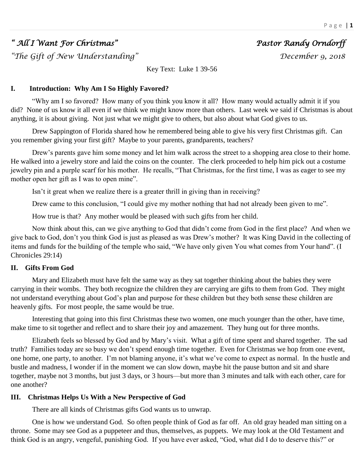# *" All I Want For Christmas" Pastor Randy Orndorff*

*"The Gift of New Understanding" December 9, 2018* 

Key Text: Luke 1 39-56

# **I. Introduction: Why Am I So Highly Favored?**

"Why am I so favored? How many of you think you know it all? How many would actually admit it if you did? None of us know it all even if we think we might know more than others. Last week we said if Christmas is about anything, it is about giving. Not just what we might give to others, but also about what God gives to us.

Drew Sappington of Florida shared how he remembered being able to give his very first Christmas gift. Can you remember giving your first gift? Maybe to your parents, grandparents, teachers?

Drew's parents gave him some money and let him walk across the street to a shopping area close to their home. He walked into a jewelry store and laid the coins on the counter. The clerk proceeded to help him pick out a costume jewelry pin and a purple scarf for his mother. He recalls, "That Christmas, for the first time, I was as eager to see my mother open her gift as I was to open mine".

Isn't it great when we realize there is a greater thrill in giving than in receiving?

Drew came to this conclusion, "I could give my mother nothing that had not already been given to me".

How true is that? Any mother would be pleased with such gifts from her child.

Now think about this, can we give anything to God that didn't come from God in the first place? And when we give back to God, don't you think God is just as pleased as was Drew's mother? It was King David in the collecting of items and funds for the building of the temple who said, "We have only given You what comes from Your hand". (I Chronicles 29:14)

### **II. Gifts From God**

Mary and Elizabeth must have felt the same way as they sat together thinking about the babies they were carrying in their wombs. They both recognize the children they are carrying are gifts to them from God. They might not understand everything about God's plan and purpose for these children but they both sense these children are heavenly gifts. For most people, the same would be true.

Interesting that going into this first Christmas these two women, one much younger than the other, have time, make time to sit together and reflect and to share their joy and amazement. They hung out for three months.

Elizabeth feels so blessed by God and by Mary's visit. What a gift of time spent and shared together. The sad truth? Families today are so busy we don't spend enough time together. Even for Christmas we hop from one event, one home, one party, to another. I'm not blaming anyone, it's what we've come to expect as normal. In the hustle and bustle and madness, I wonder if in the moment we can slow down, maybe hit the pause button and sit and share together, maybe not 3 months, but just 3 days, or 3 hours—but more than 3 minutes and talk with each other, care for one another?

### **III. Christmas Helps Us With a New Perspective of God**

There are all kinds of Christmas gifts God wants us to unwrap.

One is how we understand God. So often people think of God as far off. An old gray headed man sitting on a throne. Some may see God as a puppeteer and thus, themselves, as puppets. We may look at the Old Testament and think God is an angry, vengeful, punishing God. If you have ever asked, "God, what did I do to deserve this?" or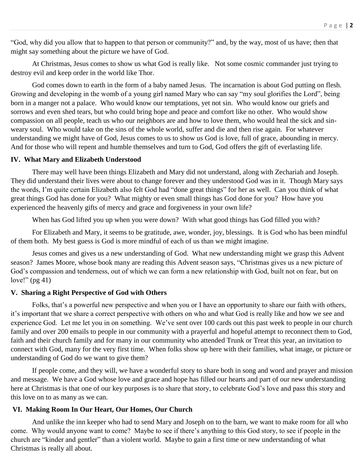"God, why did you allow that to happen to that person or community?" and, by the way, most of us have; then that might say something about the picture we have of God.

At Christmas, Jesus comes to show us what God is really like. Not some cosmic commander just trying to destroy evil and keep order in the world like Thor.

God comes down to earth in the form of a baby named Jesus. The incarnation is about God putting on flesh. Growing and developing in the womb of a young girl named Mary who can say "my soul glorifies the Lord", being born in a manger not a palace. Who would know our temptations, yet not sin. Who would know our griefs and sorrows and even shed tears, but who could bring hope and peace and comfort like no other. Who would show compassion on all people, teach us who our neighbors are and how to love them, who would heal the sick and sinweary soul. Who would take on the sins of the whole world, suffer and die and then rise again. For whatever understanding we might have of God, Jesus comes to us to show us God is love, full of grace, abounding in mercy. And for those who will repent and humble themselves and turn to God, God offers the gift of everlasting life.

#### **IV. What Mary and Elizabeth Understood**

There may well have been things Elizabeth and Mary did not understand, along with Zechariah and Joseph. They did understand their lives were about to change forever and they understood God was in it. Though Mary says the words, I'm quite certain Elizabeth also felt God had "done great things" for her as well. Can you think of what great things God has done for you? What mighty or even small things has God done for you? How have you experienced the heavenly gifts of mercy and grace and forgiveness in your own life?

When has God lifted you up when you were down? With what good things has God filled you with?

For Elizabeth and Mary, it seems to be gratitude, awe, wonder, joy, blessings. It is God who has been mindful of them both. My best guess is God is more mindful of each of us than we might imagine.

Jesus comes and gives us a new understanding of God. What new understanding might we grasp this Advent season? James Moore, whose book many are reading this Advent season says, "Christmas gives us a new picture of God's compassion and tenderness, out of which we can form a new relationship with God, built not on fear, but on love!"  $(pg 41)$ 

#### **V. Sharing a Right Perspective of God with Others**

Folks, that's a powerful new perspective and when you or I have an opportunity to share our faith with others, it's important that we share a correct perspective with others on who and what God is really like and how we see and experience God. Let me let you in on something. We've sent over 100 cards out this past week to people in our church family and over 200 emails to people in our community with a prayerful and hopeful attempt to reconnect them to God, faith and their church family and for many in our community who attended Trunk or Treat this year, an invitation to connect with God, many for the very first time. When folks show up here with their families, what image, or picture or understanding of God do we want to give them?

If people come, and they will, we have a wonderful story to share both in song and word and prayer and mission and message. We have a God whose love and grace and hope has filled our hearts and part of our new understanding here at Christmas is that one of our key purposes is to share that story, to celebrate God's love and pass this story and this love on to as many as we can.

### **VI. Making Room In Our Heart, Our Homes, Our Church**

And unlike the inn keeper who had to send Mary and Joseph on to the barn, we want to make room for all who come. Why would anyone want to come? Maybe to see if there's anything to this God story, to see if people in the church are "kinder and gentler" than a violent world. Maybe to gain a first time or new understanding of what Christmas is really all about.